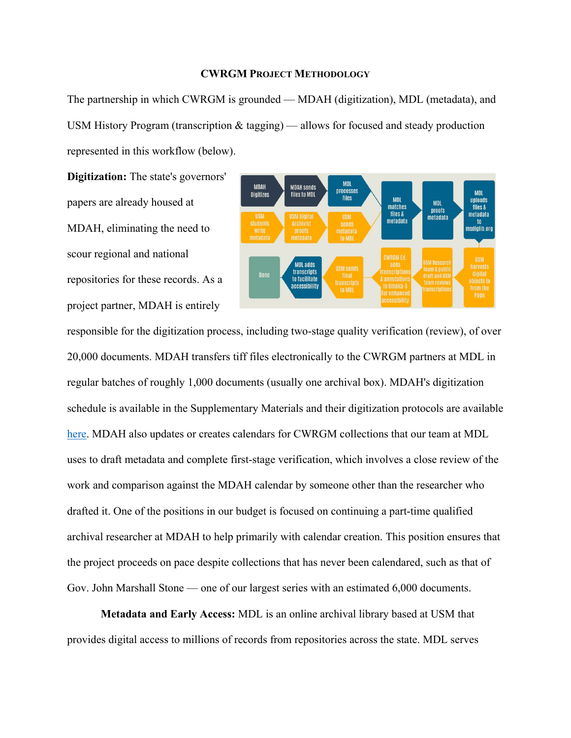## **CWRGM PROJECT METHODOLOGY**

The partnership in which CWRGM is grounded — MDAH (digitization), MDL (metadata), and USM History Program (transcription & tagging) — allows for focused and steady production represented in this workflow (below).

**Digitization:** The state's governors' papers are already housed at MDAH, eliminating the need to scour regional and national repositories for these records. As a project partner, MDAH is entirely



responsible for the digitization process, including two-stage quality verification (review), of over 20,000 documents. MDAH transfers tiff files electronically to the CWRGM partners at MDL in regular batches of roughly 1,000 documents (usually one archival box). MDAH's digitization schedule is available in the Supplementary Materials and their digitization protocols are available [here.](https://cwrgm.org/page/editorial-process) MDAH also updates or creates calendars for CWRGM collections that our team at MDL uses to draft metadata and complete first-stage verification, which involves a close review of the work and comparison against the MDAH calendar by someone other than the researcher who drafted it. One of the positions in our budget is focused on continuing a part-time qualified archival researcher at MDAH to help primarily with calendar creation. This position ensures that the project proceeds on pace despite collections that has never been calendared, such as that of Gov. John Marshall Stone — one of our largest series with an estimated 6,000 documents.

 **Metadata and Early Access:** MDL is an online archival library based at USM that provides digital access to millions of records from repositories across the state. MDL serves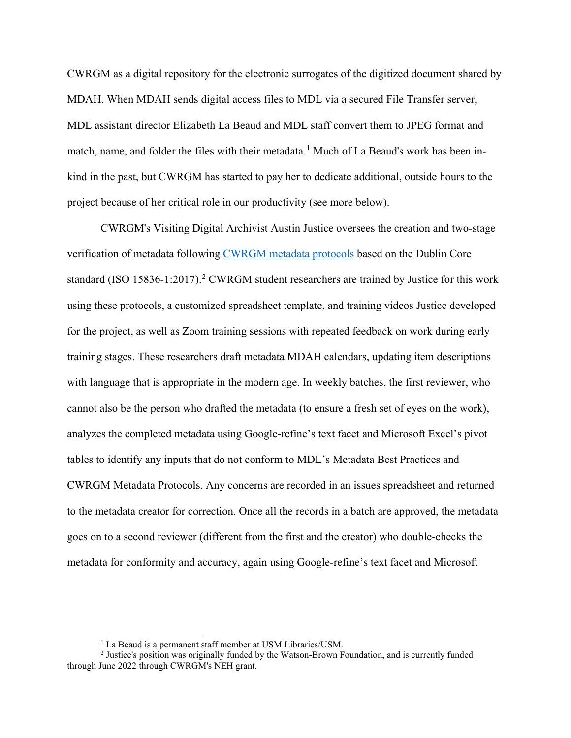CWRGM as a digital repository for the electronic surrogates of the digitized document shared by MDAH. When MDAH sends digital access files to MDL via a secured File Transfer server, MDL assistant director Elizabeth La Beaud and MDL staff convert them to JPEG format and match, name, and folder the files with their metadata.<sup>[1](#page-1-0)</sup> Much of La Beaud's work has been inkind in the past, but CWRGM has started to pay her to dedicate additional, outside hours to the project because of her critical role in our productivity (see more below).

CWRGM's Visiting Digital Archivist Austin Justice oversees the creation and two-stage verification of metadata following [CWRGM metadata protocols](https://cwrgm.org/page/editorial-process) based on the Dublin Core standard (ISO 15836-1:[2](#page-1-1)017).<sup>2</sup> CWRGM student researchers are trained by Justice for this work using these protocols, a customized spreadsheet template, and training videos Justice developed for the project, as well as Zoom training sessions with repeated feedback on work during early training stages. These researchers draft metadata MDAH calendars, updating item descriptions with language that is appropriate in the modern age. In weekly batches, the first reviewer, who cannot also be the person who drafted the metadata (to ensure a fresh set of eyes on the work), analyzes the completed metadata using Google-refine's text facet and Microsoft Excel's pivot tables to identify any inputs that do not conform to MDL's Metadata Best Practices and CWRGM Metadata Protocols. Any concerns are recorded in an issues spreadsheet and returned to the metadata creator for correction. Once all the records in a batch are approved, the metadata goes on to a second reviewer (different from the first and the creator) who double-checks the metadata for conformity and accuracy, again using Google-refine's text facet and Microsoft

<sup>&</sup>lt;sup>1</sup> La Beaud is a permanent staff member at USM Libraries/USM.

<span id="page-1-1"></span><span id="page-1-0"></span><sup>2</sup> Justice's position was originally funded by the Watson-Brown Foundation, and is currently funded through June 2022 through CWRGM's NEH grant.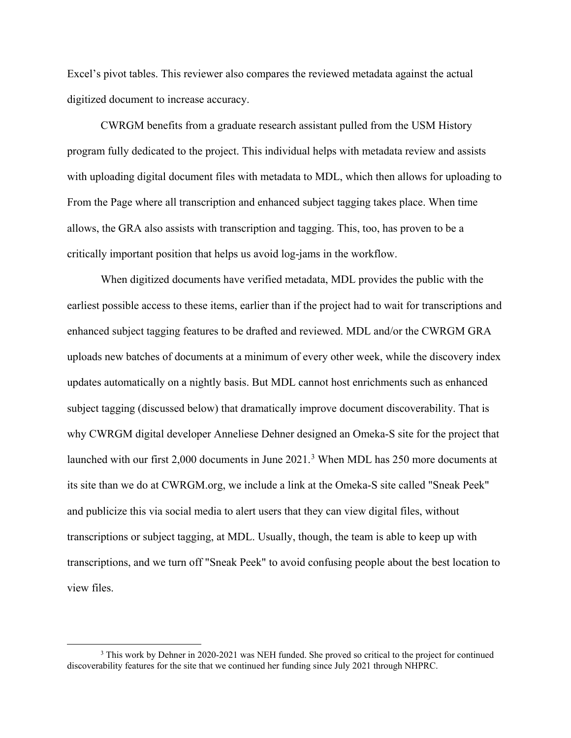Excel's pivot tables. This reviewer also compares the reviewed metadata against the actual digitized document to increase accuracy.

 CWRGM benefits from a graduate research assistant pulled from the USM History program fully dedicated to the project. This individual helps with metadata review and assists with uploading digital document files with metadata to MDL, which then allows for uploading to From the Page where all transcription and enhanced subject tagging takes place. When time allows, the GRA also assists with transcription and tagging. This, too, has proven to be a critically important position that helps us avoid log-jams in the workflow.

 When digitized documents have verified metadata, MDL provides the public with the earliest possible access to these items, earlier than if the project had to wait for transcriptions and enhanced subject tagging features to be drafted and reviewed. MDL and/or the CWRGM GRA uploads new batches of documents at a minimum of every other week, while the discovery index updates automatically on a nightly basis. But MDL cannot host enrichments such as enhanced subject tagging (discussed below) that dramatically improve document discoverability. That is why CWRGM digital developer Anneliese Dehner designed an Omeka-S site for the project that launched with our first 2,000 documents in June 2021.<sup>[3](#page-2-0)</sup> When MDL has 250 more documents at its site than we do at CWRGM.org, we include a link at the Omeka-S site called "Sneak Peek" and publicize this via social media to alert users that they can view digital files, without transcriptions or subject tagging, at MDL. Usually, though, the team is able to keep up with transcriptions, and we turn off "Sneak Peek" to avoid confusing people about the best location to view files.

<span id="page-2-0"></span><sup>&</sup>lt;sup>3</sup> This work by Dehner in 2020-2021 was NEH funded. She proved so critical to the project for continued discoverability features for the site that we continued her funding since July 2021 through NHPRC.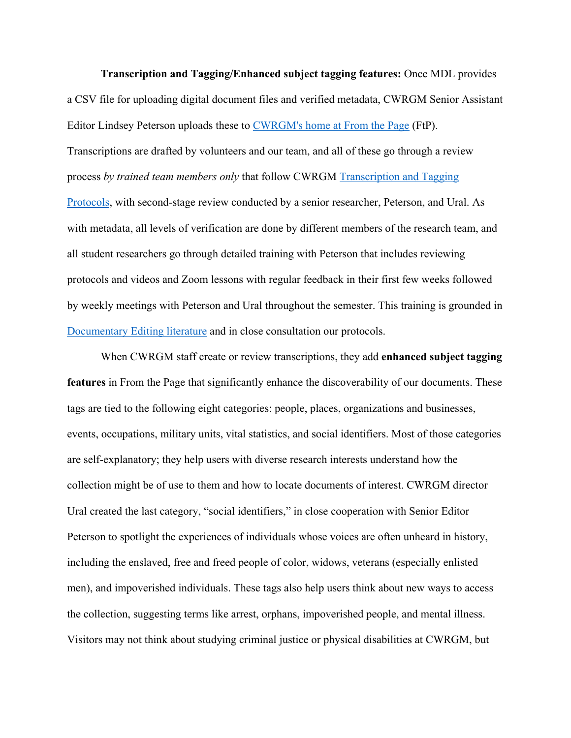**Transcription and Tagging/Enhanced subject tagging features:** Once MDL provides a CSV file for uploading digital document files and verified metadata, CWRGM Senior Assistant Editor Lindsey Peterson uploads these to [CWRGM's home at From the Page](https://fromthepage.com/cwrgm/cwrgm-public) (FtP). Transcriptions are drafted by volunteers and our team, and all of these go through a review process *by trained team members only* that follow CWRGM [Transcription and Tagging](https://cwrgm.org/page/editorial-process)  [Protocols,](https://cwrgm.org/page/editorial-process) with second-stage review conducted by a senior researcher, Peterson, and Ural. As with metadata, all levels of verification are done by different members of the research team, and all student researchers go through detailed training with Peterson that includes reviewing protocols and videos and Zoom lessons with regular feedback in their first few weeks followed by weekly meetings with Peterson and Ural throughout the semester. This training is grounded in [Documentary Editing literature](https://www.documentaryediting.org/wordpress/?page_id=491) and in close consultation our protocols.

When CWRGM staff create or review transcriptions, they add **enhanced subject tagging features** in From the Page that significantly enhance the discoverability of our documents. These tags are tied to the following eight categories: people, places, organizations and businesses, events, occupations, military units, vital statistics, and social identifiers. Most of those categories are self-explanatory; they help users with diverse research interests understand how the collection might be of use to them and how to locate documents of interest. CWRGM director Ural created the last category, "social identifiers," in close cooperation with Senior Editor Peterson to spotlight the experiences of individuals whose voices are often unheard in history, including the enslaved, free and freed people of color, widows, veterans (especially enlisted men), and impoverished individuals. These tags also help users think about new ways to access the collection, suggesting terms like arrest, orphans, impoverished people, and mental illness. Visitors may not think about studying criminal justice or physical disabilities at CWRGM, but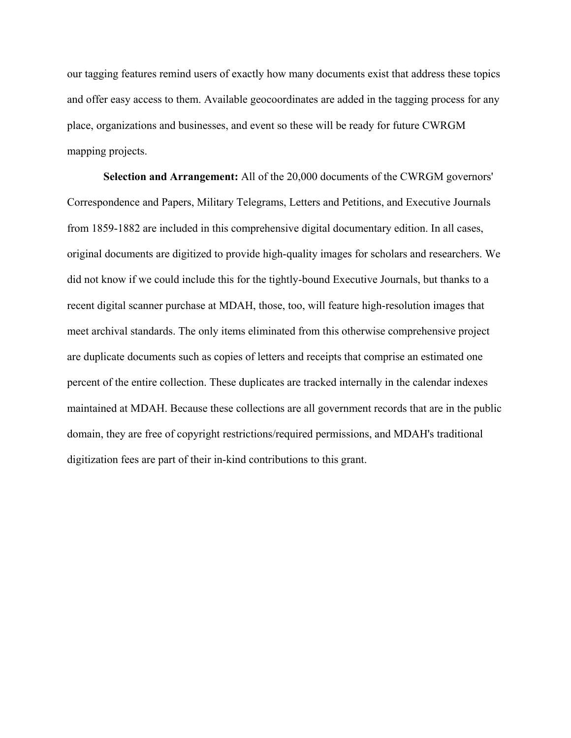our tagging features remind users of exactly how many documents exist that address these topics and offer easy access to them. Available geocoordinates are added in the tagging process for any place, organizations and businesses, and event so these will be ready for future CWRGM mapping projects.

 **Selection and Arrangement:** All of the 20,000 documents of the CWRGM governors' Correspondence and Papers, Military Telegrams, Letters and Petitions, and Executive Journals from 1859-1882 are included in this comprehensive digital documentary edition. In all cases, original documents are digitized to provide high-quality images for scholars and researchers. We did not know if we could include this for the tightly-bound Executive Journals, but thanks to a recent digital scanner purchase at MDAH, those, too, will feature high-resolution images that meet archival standards. The only items eliminated from this otherwise comprehensive project are duplicate documents such as copies of letters and receipts that comprise an estimated one percent of the entire collection. These duplicates are tracked internally in the calendar indexes maintained at MDAH. Because these collections are all government records that are in the public domain, they are free of copyright restrictions/required permissions, and MDAH's traditional digitization fees are part of their in-kind contributions to this grant.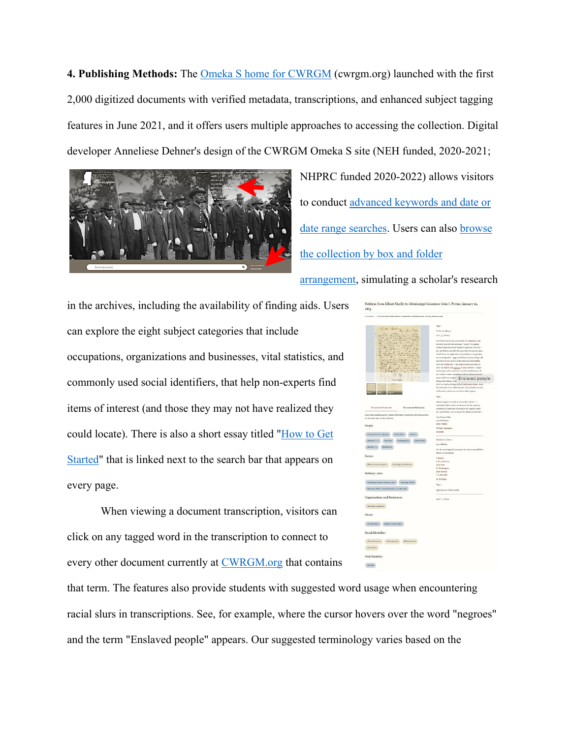**4. Publishing Methods:** The [Omeka S home for CWRGM](https://cwrgm.org/) (cwrgm.org) launched with the first 2,000 digitized documents with verified metadata, transcriptions, and enhanced subject tagging features in June 2021, and it offers users multiple approaches to accessing the collection. Digital developer Anneliese Dehner's design of the CWRGM Omeka S site (NEH funded, 2020-2021;



NHPRC funded 2020-2022) allows visitors to conduct advanced keywords and date or [date range searches.](https://cwrgm.org/item/search) Users can also [browse](https://cwrgm.org/page/series-box-folder)  [the collection by box and folder](https://cwrgm.org/page/series-box-folder) 

## [arrangement,](https://cwrgm.org/page/series-box-folder) simulating a scholar's research

in the archives, including the availability of finding aids. Users can explore the eight subject categories that include occupations, organizations and businesses, vital statistics, and commonly used social identifiers, that help non-experts find items of interest (and those they may not have realized they could locate). There is also a short essay titled ["How to Get](https://cwrgm.org/page/get-started)  [Started"](https://cwrgm.org/page/get-started) that is linked next to the search bar that appears on every page.

 When viewing a document transcription, visitors can click on any tagged word in the transcription to connect to every other document currently at [CWRGM.org](https://cwrgm.org/) that contains

| ОССЛЕДИТЕ у РЕПТСИЛНОМ ЛАВКЕ ФИЛАНТО-МЕБЕЛИЧНОСКЛАСИНСКУ РЕТТИВ, ДИКАВКУ м, «Мар                                                                       |                                                                                                                   |
|--------------------------------------------------------------------------------------------------------------------------------------------------------|-------------------------------------------------------------------------------------------------------------------|
|                                                                                                                                                        | <b>Page of</b>                                                                                                    |
| To the Existen                                                                                                                                         | To His Excellency                                                                                                 |
|                                                                                                                                                        | GoV. L.L. Potton,                                                                                                 |
| $-120$                                                                                                                                                 |                                                                                                                   |
|                                                                                                                                                        | Your Puttioner having neticed that the legislature has                                                            |
| $46 - 10$                                                                                                                                              | intential you with discretionary "power" in making<br>excesp-tions when your judgment approves 1 here lay         |
|                                                                                                                                                        | my cars before you with the logic that the reasons upon                                                           |
|                                                                                                                                                        | which I have my application may justify you in granting                                                           |
|                                                                                                                                                        | me an exemption-(gap) Lats forty two years of age and                                                             |
|                                                                                                                                                        | have been in the service of the state since the militia-<br>were first called out-1 am a slave owner and have to- |
| t. de                                                                                                                                                  | leave my family and <u>negroes</u> at home without a single                                                       |
| z,                                                                                                                                                     | white male on the preceious, I am the administrator of                                                            |
| 近<br>$\circ$                                                                                                                                           | my methors output, consisting of about sixtuou memory.                                                            |
|                                                                                                                                                        | sponstich two display. Enslaved people                                                                            |
| $1 + 2 - F + 3$                                                                                                                                        | living, there being no ref.                                                                                       |
|                                                                                                                                                        | all of my brothers being in the Confederate Army-1 am                                                             |
|                                                                                                                                                        | thus forced to leave all the forsales of my family at home,<br>at the mercy of rey own as well as other negons.   |
|                                                                                                                                                        | Page 2                                                                                                            |
|                                                                                                                                                        | and my negroes to work or not as they choose-1                                                                    |
|                                                                                                                                                        | ensinessly believe that I can do mass for the cause by                                                            |
| Document Network<br>Document Metadata                                                                                                                  | remaining at home and attendig to the negrees under                                                               |
| Each transmitted document contains links that connect it to other documents.                                                                           | my control than I can as one of the refit is in the field-                                                        |
| on the came topic in the callection.                                                                                                                   | Very Respectfully,                                                                                                |
|                                                                                                                                                        | year Patitional                                                                                                   |
| People                                                                                                                                                 | <b>Ebert Shifty</b>                                                                                               |
|                                                                                                                                                        | <sup>2</sup> Min <sup>3</sup> luttalies                                                                           |
| Follow, John James, allegality $\bigcup_{i=1}^n\mathrm{Erob}_{\mathcal{D}_i} \mathbb{E}[\ker\mathbb{E}_i] = \mathbb{E}_{\mathrm{dist}}(\mathcal{F}_i)$ | Gueala                                                                                                            |
| $\text{Dess}_\lambda(\text{bin}) = \text{Dess}_\lambda(\text{bin})$<br>Henningaug, M.<br>Streamt, John                                                 | Madison Co, Mice                                                                                                  |
|                                                                                                                                                        | hdy salt 180s.                                                                                                    |
| Model T.J. MANIFER                                                                                                                                     | We the undersigned recommend the above named Elbert                                                               |
|                                                                                                                                                        | Shelby for comprison                                                                                              |
| Events                                                                                                                                                 | F. Rassell                                                                                                        |
|                                                                                                                                                        | E. H. Anderson,                                                                                                   |
| Military service memplion <b>Bearating and reliatenest</b>                                                                                             | John Drar                                                                                                         |
|                                                                                                                                                        | W. Hexisgeas                                                                                                      |
| Military Units                                                                                                                                         | John Stewart<br>T. L. Mindell                                                                                     |
|                                                                                                                                                        |                                                                                                                   |
| Comfederate States of America: Army Ministry Minister                                                                                                  | W. M"WER-                                                                                                         |
| Montangel Militia Infantry Battalier, int (ditte ship)                                                                                                 | $P_{ABC}$<br>application of Klbort Shelby                                                                         |
|                                                                                                                                                        |                                                                                                                   |
| Organizations and Businesses                                                                                                                           | Gov <sup>n</sup> 3.1, Perman                                                                                      |
| Musinippi Legislator                                                                                                                                   |                                                                                                                   |
| Places                                                                                                                                                 |                                                                                                                   |
| $\langle \dim \mathrm{stab}\,(\mathrm{Max}\,\} \rangle = \langle \dim \mathrm{Fun}\,\mathrm{Conv}(\mathrm{Sym}\,\} )\, \langle \mathrm{Max}\,\rangle$  |                                                                                                                   |
|                                                                                                                                                        |                                                                                                                   |
| Social Identifiers                                                                                                                                     |                                                                                                                   |
| Misson Americans - Embershprophe - Military Families                                                                                                   |                                                                                                                   |
| Tarrividen                                                                                                                                             |                                                                                                                   |
|                                                                                                                                                        |                                                                                                                   |
| Vital Statistics                                                                                                                                       |                                                                                                                   |
| <b>Marier</b>                                                                                                                                          |                                                                                                                   |

that term. The features also provide students with suggested word usage when encountering racial slurs in transcriptions. See, for example, where the cursor hovers over the word "negroes" and the term "Enslaved people" appears. Our suggested terminology varies based on the